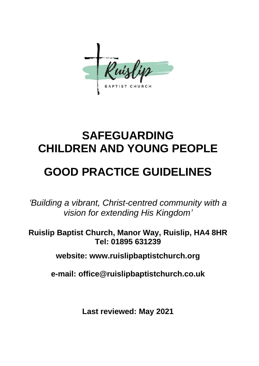

# **SAFEGUARDING CHILDREN AND YOUNG PEOPLE**

# **GOOD PRACTICE GUIDELINES**

*'Building a vibrant, Christ-centred community with a vision for extending His Kingdom'*

**Ruislip Baptist Church, Manor Way, Ruislip, HA4 8HR Tel: 01895 631239**

**website: www.ruislipbaptistchurch.org**

**e-mail: office@ruislipbaptistchurch.co.uk**

**Last reviewed: May 2021**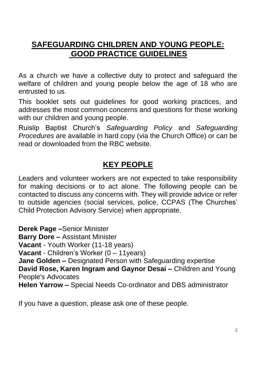# **SAFEGUARDING CHILDREN AND YOUNG PEOPLE: GOOD PRACTICE GUIDELINES**

As a church we have a collective duty to protect and safeguard the welfare of children and young people below the age of 18 who are entrusted to us.

This booklet sets out guidelines for good working practices, and addresses the most common concerns and questions for those working with our children and young people.

Ruislip Baptist Church's *Safeguarding Policy* and *Safeguarding Procedures* are available in hard copy (via the Church Office) or can be read or downloaded from the RBC website.

# **KEY PEOPLE**

Leaders and volunteer workers are not expected to take responsibility for making decisions or to act alone. The following people can be contacted to discuss any concerns with. They will provide advice or refer to outside agencies (social services, police, CCPAS (The Churches' Child Protection Advisory Service) when appropriate.

**Derek Page –**Senior Minister **Barry Dore –** Assistant Minister **Vacant** - Youth Worker (11-18 years) **Vacant** - Children's Worker (0 – 11years) **Jane Golden –** Designated Person with Safeguarding expertise **David Rose, Karen Ingram and Gaynor Desai –** Children and Young People's Advocates **Helen Yarrow –** Special Needs Co-ordinator and DBS administrator

If you have a question, please ask one of these people.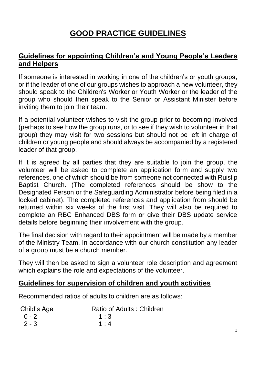# **GOOD PRACTICE GUIDELINES**

## **Guidelines for appointing Children's and Young People's Leaders and Helpers**

If someone is interested in working in one of the children's or youth groups, or if the leader of one of our groups wishes to approach a new volunteer, they should speak to the Children's Worker or Youth Worker or the leader of the group who should then speak to the Senior or Assistant Minister before inviting them to join their team.

If a potential volunteer wishes to visit the group prior to becoming involved (perhaps to see how the group runs, or to see if they wish to volunteer in that group) they may visit for two sessions but should not be left in charge of children or young people and should always be accompanied by a registered leader of that group.

If it is agreed by all parties that they are suitable to join the group, the volunteer will be asked to complete an application form and supply two references, one of which should be from someone not connected with Ruislip Baptist Church. (The completed references should be show to the Designated Person or the Safeguarding Administrator before being filed in a locked cabinet). The completed references and application from should be returned within six weeks of the first visit. They will also be required to complete an RBC Enhanced DBS form or give their DBS update service details before beginning their involvement with the group.

The final decision with regard to their appointment will be made by a member of the Ministry Team. In accordance with our church constitution any leader of a group must be a church member.

They will then be asked to sign a volunteer role description and agreement which explains the role and expectations of the volunteer.

#### **Guidelines for supervision of children and youth activities**

Recommended ratios of adults to children are as follows:

| Child's Age | Ratio of Adults: Children |
|-------------|---------------------------|
| $(0 - 2)$   | 1:3                       |
| $2 - 3$     | 1:4                       |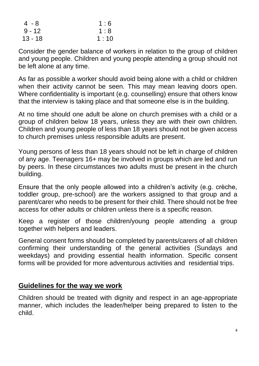| 4 - 8    | 1:6  |
|----------|------|
| $9 - 12$ | 1:8  |
| 13 - 18  | 1:10 |

Consider the gender balance of workers in relation to the group of children and young people. Children and young people attending a group should not be left alone at any time.

As far as possible a worker should avoid being alone with a child or children when their activity cannot be seen. This may mean leaving doors open. Where confidentiality is important (e.g. counselling) ensure that others know that the interview is taking place and that someone else is in the building.

At no time should one adult be alone on church premises with a child or a group of children below 18 years, unless they are with their own children. Children and young people of less than 18 years should not be given access to church premises unless responsible adults are present.

Young persons of less than 18 years should not be left in charge of children of any age. Teenagers 16+ may be involved in groups which are led and run by peers. In these circumstances two adults must be present in the church building.

Ensure that the only people allowed into a children's activity (e.g. crèche, toddler group, pre-school) are the workers assigned to that group and a parent/carer who needs to be present for their child. There should not be free access for other adults or children unless there is a specific reason.

Keep a register of those children/young people attending a group together with helpers and leaders.

General consent forms should be completed by parents/carers of all children confirming their understanding of the general activities (Sundays and weekdays) and providing essential health information. Specific consent forms will be provided for more adventurous activities and residential trips.

#### **Guidelines for the way we work**

Children should be treated with dignity and respect in an age-appropriate manner, which includes the leader/helper being prepared to listen to the child.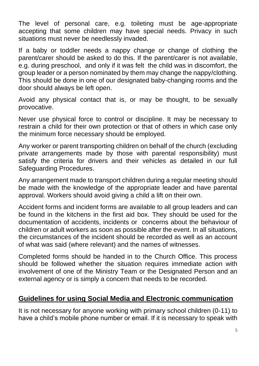The level of personal care, e.g. toileting must be age-appropriate accepting that some children may have special needs. Privacy in such situations must never be needlessly invaded.

If a baby or toddler needs a nappy change or change of clothing the parent/carer should be asked to do this. If the parent/carer is not available, e.g. during preschool, and only if it was felt the child was in discomfort, the group leader or a person nominated by them may change the nappy/clothing. This should be done in one of our designated baby-changing rooms and the door should always be left open.

Avoid any physical contact that is, or may be thought, to be sexually provocative.

Never use physical force to control or discipline. It may be necessary to restrain a child for their own protection or that of others in which case only the minimum force necessary should be employed.

Any worker or parent transporting children on behalf of the church (excluding private arrangements made by those with parental responsibility) must satisfy the criteria for drivers and their vehicles as detailed in our full Safeguarding Procedures.

Any arrangement made to transport children during a regular meeting should be made with the knowledge of the appropriate leader and have parental approval. Workers should avoid giving a child a lift on their own.

Accident forms and incident forms are available to all group leaders and can be found in the kitchens in the first aid box. They should be used for the documentation of accidents, incidents or concerns about the behaviour of children or adult workers as soon as possible after the event. In all situations, the circumstances of the incident should be recorded as well as an account of what was said (where relevant) and the names of witnesses.

Completed forms should be handed in to the Church Office. This process should be followed whether the situation requires immediate action with involvement of one of the Ministry Team or the Designated Person and an external agency or is simply a concern that needs to be recorded.

## **Guidelines for using Social Media and Electronic communication**

It is not necessary for anyone working with primary school children (0-11) to have a child's mobile phone number or email. If it is necessary to speak with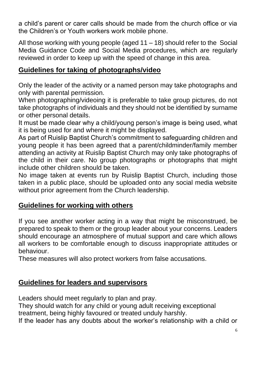a child's parent or carer calls should be made from the church office or via the Children's or Youth workers work mobile phone.

All those working with young people (aged 11 – 18) should refer to the Social Media Guidance Code and Social Media procedures, which are regularly reviewed in order to keep up with the speed of change in this area.

## **Guidelines for taking of photographs/video**

Only the leader of the activity or a named person may take photographs and only with parental permission.

When photographing/videoing it is preferable to take group pictures, do not take photographs of individuals and they should not be identified by surname or other personal details.

It must be made clear why a child/young person's image is being used, what it is being used for and where it might be displayed.

As part of Ruislip Baptist Church's commitment to safeguarding children and young people it has been agreed that a parent/childminder/family member attending an activity at Ruislip Baptist Church may only take photographs of the child in their care. No group photographs or photographs that might include other children should be taken.

No image taken at events run by Ruislip Baptist Church, including those taken in a public place, should be uploaded onto any social media website without prior agreement from the Church leadership.

## **Guidelines for working with others**

If you see another worker acting in a way that might be misconstrued, be prepared to speak to them or the group leader about your concerns. Leaders should encourage an atmosphere of mutual support and care which allows all workers to be comfortable enough to discuss inappropriate attitudes or behaviour.

These measures will also protect workers from false accusations.

# **Guidelines for leaders and supervisors**

Leaders should meet regularly to plan and pray.

They should watch for any child or young adult receiving exceptional treatment, being highly favoured or treated unduly harshly.

If the leader has any doubts about the worker's relationship with a child or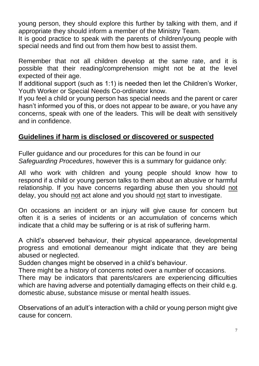young person, they should explore this further by talking with them, and if appropriate they should inform a member of the Ministry Team.

It is good practice to speak with the parents of children/young people with special needs and find out from them how best to assist them.

Remember that not all children develop at the same rate, and it is possible that their reading/comprehension might not be at the level expected of their age.

If additional support (such as 1:1) is needed then let the Children's Worker, Youth Worker or Special Needs Co-ordinator know.

If you feel a child or young person has special needs and the parent or carer hasn't informed you of this, or does not appear to be aware, or you have any concerns, speak with one of the leaders. This will be dealt with sensitively and in confidence.

# **Guidelines if harm is disclosed or discovered or suspected**

Fuller guidance and our procedures for this can be found in our *Safeguarding Procedures*, however this is a summary for guidance only:

All who work with children and young people should know how to respond if a child or young person talks to them about an abusive or harmful relationship. If you have concerns regarding abuse then you should not delay, you should not act alone and you should not start to investigate.

On occasions an incident or an injury will give cause for concern but often it is a series of incidents or an accumulation of concerns which indicate that a child may be suffering or is at risk of suffering harm.

A child's observed behaviour, their physical appearance, developmental progress and emotional demeanour might indicate that they are being abused or neglected.

Sudden changes might be observed in a child's behaviour.

There might be a history of concerns noted over a number of occasions.

There may be indicators that parents/carers are experiencing difficulties which are having adverse and potentially damaging effects on their child e.g. domestic abuse, substance misuse or mental health issues.

Observations of an adult's interaction with a child or young person might give cause for concern.